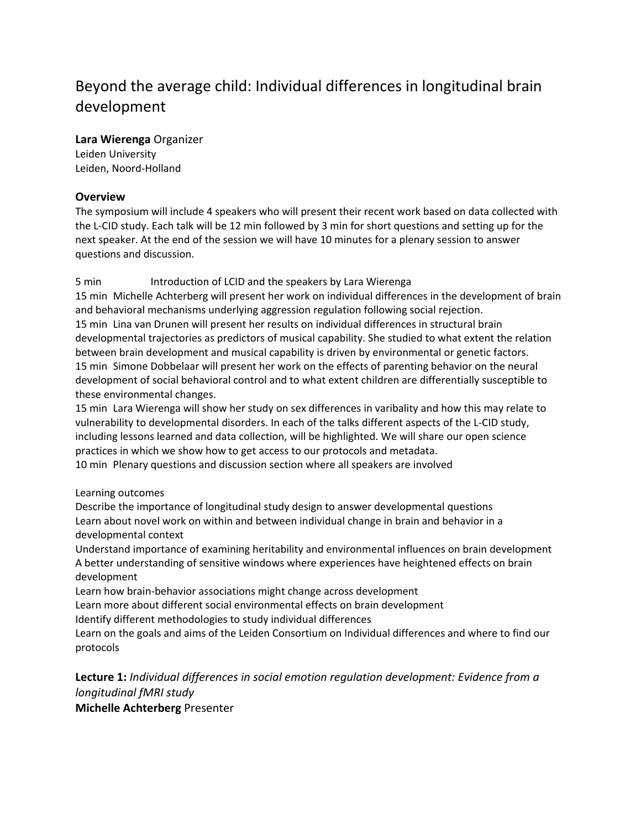# Beyond the average child: Individual differences in longitudinal brain development

**Lara Wierenga** Organizer

Leiden University Leiden, Noord-Holland

## **Overview**

The symposium will include 4 speakers who will present their recent work based on data collected with the L-CID study. Each talk will be 12 min followed by 3 min for short questions and setting up for the next speaker. At the end of the session we will have 10 minutes for a plenary session to answer questions and discussion.

## 5 min Introduction of LCID and the speakers by Lara Wierenga

15 min Michelle Achterberg will present her work on individual differences in the development of brain and behavioral mechanisms underlying aggression regulation following social rejection. 15 min Lina van Drunen will present her results on individual differences in structural brain developmental trajectories as predictors of musical capability. She studied to what extent the relation between brain development and musical capability is driven by environmental or genetic factors. 15 min Simone Dobbelaar will present her work on the effects of parenting behavior on the neural development of social behavioral control and to what extent children are differentially susceptible to these environmental changes.

15 min Lara Wierenga will show her study on sex differences in varibality and how this may relate to vulnerability to developmental disorders. In each of the talks different aspects of the L-CID study, including lessons learned and data collection, will be highlighted. We will share our open science practices in which we show how to get access to our protocols and metadata.

10 min Plenary questions and discussion section where all speakers are involved

#### Learning outcomes

Describe the importance of longitudinal study design to answer developmental questions Learn about novel work on within and between individual change in brain and behavior in a developmental context

Understand importance of examining heritability and environmental influences on brain development A better understanding of sensitive windows where experiences have heightened effects on brain development

Learn how brain-behavior associations might change across development

Learn more about different social environmental effects on brain development

Identify different methodologies to study individual differences

Learn on the goals and aims of the Leiden Consortium on Individual differences and where to find our protocols

**Lecture 1:** *Individual differences in social emotion regulation development: Evidence from a longitudinal fMRI study* **Michelle Achterberg** Presenter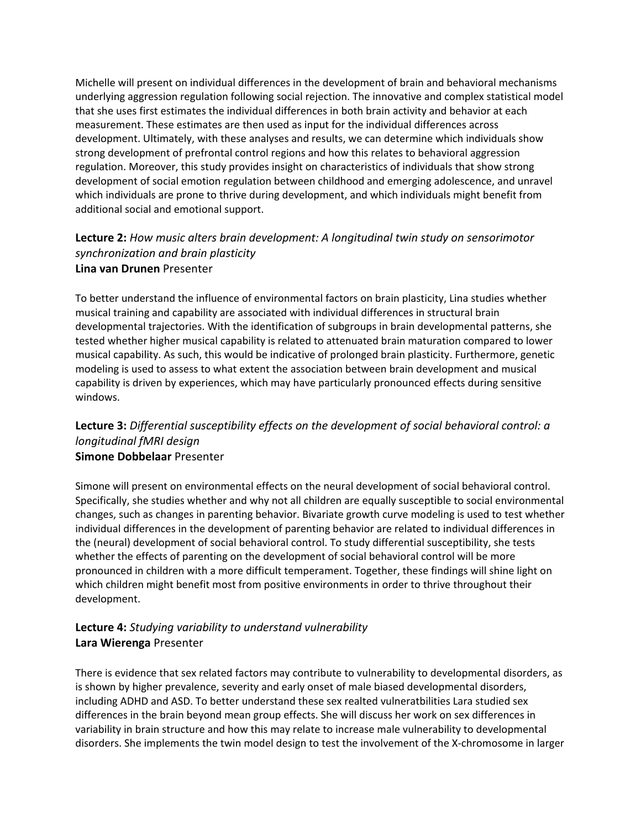Michelle will present on individual differences in the development of brain and behavioral mechanisms underlying aggression regulation following social rejection. The innovative and complex statistical model that she uses first estimates the individual differences in both brain activity and behavior at each measurement. These estimates are then used as input for the individual differences across development. Ultimately, with these analyses and results, we can determine which individuals show strong development of prefrontal control regions and how this relates to behavioral aggression regulation. Moreover, this study provides insight on characteristics of individuals that show strong development of social emotion regulation between childhood and emerging adolescence, and unravel which individuals are prone to thrive during development, and which individuals might benefit from additional social and emotional support.

## **Lecture 2:** *How music alters brain development: A longitudinal twin study on sensorimotor synchronization and brain plasticity* **Lina van Drunen** Presenter

To better understand the influence of environmental factors on brain plasticity, Lina studies whether musical training and capability are associated with individual differences in structural brain developmental trajectories. With the identification of subgroups in brain developmental patterns, she tested whether higher musical capability is related to attenuated brain maturation compared to lower musical capability. As such, this would be indicative of prolonged brain plasticity. Furthermore, genetic modeling is used to assess to what extent the association between brain development and musical capability is driven by experiences, which may have particularly pronounced effects during sensitive windows.

## **Lecture 3:** *Differential susceptibility effects on the development of social behavioral control: a longitudinal fMRI design* **Simone Dobbelaar** Presenter

Simone will present on environmental effects on the neural development of social behavioral control. Specifically, she studies whether and why not all children are equally susceptible to social environmental changes, such as changes in parenting behavior. Bivariate growth curve modeling is used to test whether individual differences in the development of parenting behavior are related to individual differences in the (neural) development of social behavioral control. To study differential susceptibility, she tests whether the effects of parenting on the development of social behavioral control will be more pronounced in children with a more difficult temperament. Together, these findings will shine light on which children might benefit most from positive environments in order to thrive throughout their development.

## **Lecture 4:** *Studying variability to understand vulnerability* **Lara Wierenga** Presenter

There is evidence that sex related factors may contribute to vulnerability to developmental disorders, as is shown by higher prevalence, severity and early onset of male biased developmental disorders, including ADHD and ASD. To better understand these sex realted vulneratbilities Lara studied sex differences in the brain beyond mean group effects. She will discuss her work on sex differences in variability in brain structure and how this may relate to increase male vulnerability to developmental disorders. She implements the twin model design to test the involvement of the X-chromosome in larger